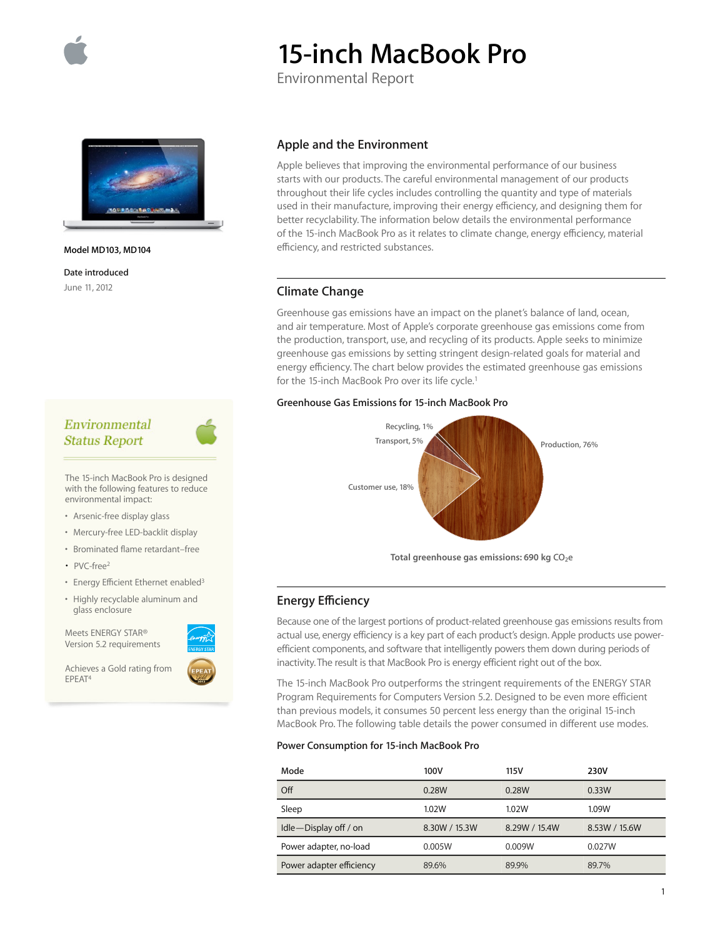

# **15-inch MacBook Pro**

Environmental Report



**Model MD103, MD104** 

**Date introduced**  June 11, 2012

## Environmental **Status Report**

The 15-inch MacBook Pro is designed with the following features to reduce environmental impact:

- Arsenic-free display glass
- Mercury-free LED-backlit display
- Brominated flame retardant–free
- PVC-free<sup>2</sup>
- Energy Efficient Ethernet enabled<sup>3</sup>
- Highly recyclable aluminum and glass enclosure

Meets ENERGY STAR® Version 5.2 requirements

Achieves a Gold rating from EPEAT4



Apple believes that improving the environmental performance of our business starts with our products. The careful environmental management of our products throughout their life cycles includes controlling the quantity and type of materials used in their manufacture, improving their energy efficiency, and designing them for better recyclability. The information below details the environmental performance of the 15-inch MacBook Pro as it relates to climate change, energy efficiency, material efficiency, and restricted substances.

## **Climate Change**

Greenhouse gas emissions have an impact on the planet's balance of land, ocean, and air temperature. Most of Apple's corporate greenhouse gas emissions come from the production, transport, use, and recycling of its products. Apple seeks to minimize greenhouse gas emissions by setting stringent design-related goals for material and energy efficiency. The chart below provides the estimated greenhouse gas emissions for the 15-inch MacBook Pro over its life cycle.<sup>1</sup>

#### **Greenhouse Gas Emissions for 15-inch MacBook Pro**



## **Energy E∑ciency**

Because one of the largest portions of product-related greenhouse gas emissions results from actual use, energy efficiency is a key part of each product's design. Apple products use powerefficient components, and software that intelligently powers them down during periods of inactivity. The result is that MacBook Pro is energy efficient right out of the box.

The 15-inch MacBook Pro outperforms the stringent requirements of the ENERGY STAR Program Requirements for Computers Version 5.2. Designed to be even more efficient than previous models, it consumes 50 percent less energy than the original 15-inch MacBook Pro. The following table details the power consumed in different use modes.

#### **Power Consumption for 15-inch MacBook Pro**

| Mode                     | 100V          | 115V          | 230V          |
|--------------------------|---------------|---------------|---------------|
| Off                      | 0.28W         | 0.28W         | 0.33W         |
| Sleep                    | 1.02W         | 1.02W         | 1.09W         |
| Idle-Display off / on    | 8.30W / 15.3W | 8.29W / 15.4W | 8.53W / 15.6W |
| Power adapter, no-load   | 0.005W        | 0.009W        | 0.027W        |
| Power adapter efficiency | 89.6%         | 89.9%         | 89.7%         |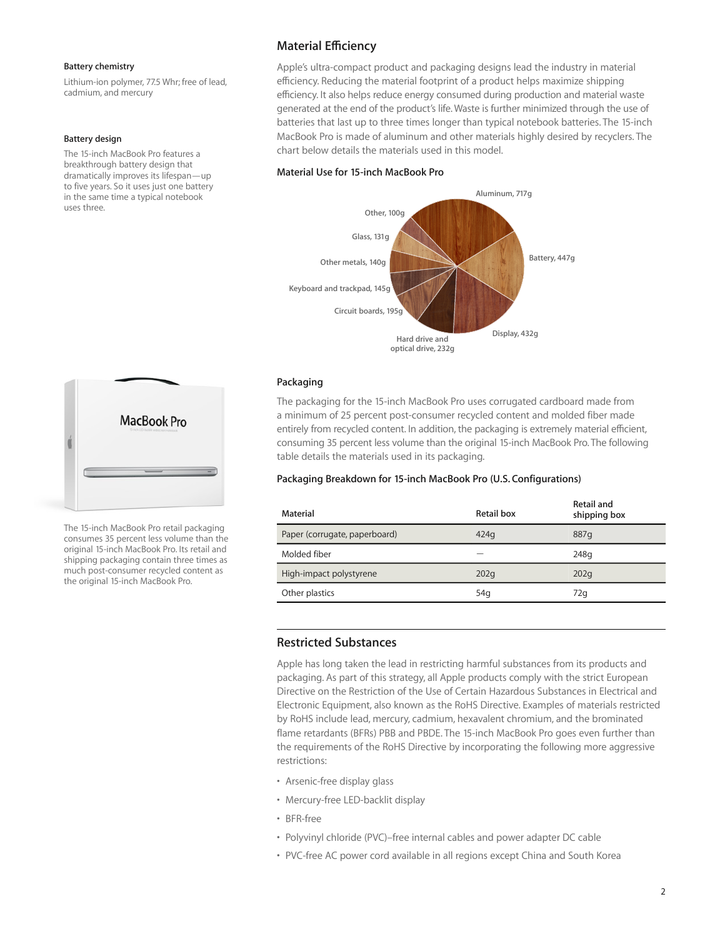#### **Battery chemistry**

Lithium-ion polymer, 77.5 Whr; free of lead, cadmium, and mercury

#### **Battery design**

The 15-inch MacBook Pro features a breakthrough battery design that dramatically improves its lifespan—up to five years. So it uses just one battery in the same time a typical notebook uses three.



The 15-inch MacBook Pro retail packaging consumes 35 percent less volume than the original 15-inch MacBook Pro. Its retail and shipping packaging contain three times as much post-consumer recycled content as the original 15-inch MacBook Pro.

## **Material E∑ciency**

Apple's ultra-compact product and packaging designs lead the industry in material efficiency. Reducing the material footprint of a product helps maximize shipping efficiency. It also helps reduce energy consumed during production and material waste generated at the end of the product's life. Waste is further minimized through the use of batteries that last up to three times longer than typical notebook batteries. The 15-inch MacBook Pro is made of aluminum and other materials highly desired by recyclers. The chart below details the materials used in this model.

## **Material Use for 15-inch MacBook Pro**



### **Packaging**

The packaging for the 15-inch MacBook Pro uses corrugated cardboard made from a minimum of 25 percent post-consumer recycled content and molded fiber made entirely from recycled content. In addition, the packaging is extremely material efficient, consuming 35 percent less volume than the original 15-inch MacBook Pro. The following table details the materials used in its packaging.

## **Packaging Breakdown for 15-inch MacBook Pro (U.S. Configurations)**

| Material                      | Retail box      | Retail and<br>shipping box |
|-------------------------------|-----------------|----------------------------|
| Paper (corrugate, paperboard) | 424q            | 887q                       |
| Molded fiber                  |                 | 248g                       |
| High-impact polystyrene       | 202q            | 202q                       |
| Other plastics                | 54 <sub>g</sub> | 72q                        |

## **Restricted Substances**

Apple has long taken the lead in restricting harmful substances from its products and packaging. As part of this strategy, all Apple products comply with the strict European Directive on the Restriction of the Use of Certain Hazardous Substances in Electrical and Electronic Equipment, also known as the RoHS Directive. Examples of materials restricted by RoHS include lead, mercury, cadmium, hexavalent chromium, and the brominated flame retardants (BFRs) PBB and PBDE. The 15-inch MacBook Pro goes even further than the requirements of the RoHS Directive by incorporating the following more aggressive restrictions:

- Arsenic-free display glass
- Mercury-free LED-backlit display
- BFR-free
- Polyvinyl chloride (PVC)–free internal cables and power adapter DC cable
- PVC-free AC power cord available in all regions except China and South Korea